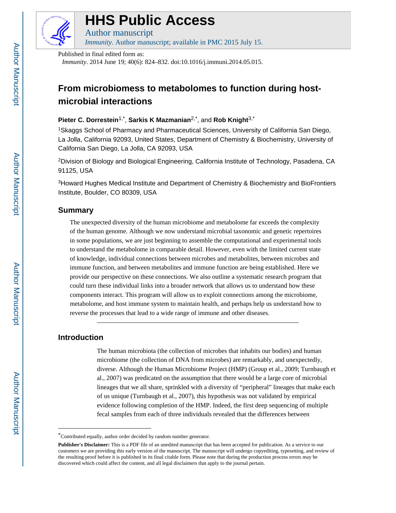

# **HHS Public Access**

Author manuscript *Immunity*. Author manuscript; available in PMC 2015 July 15.

Published in final edited form as: *Immunity*. 2014 June 19; 40(6): 824–832. doi:10.1016/j.immuni.2014.05.015.

## **From microbiomess to metabolomes to function during hostmicrobial interactions**

#### **Pieter C. Dorrestein**1,\* , **Sarkis K Mazmanian**2,\*, and **Rob Knight**3,\*

<sup>1</sup>Skaggs School of Pharmacy and Pharmaceutical Sciences, University of California San Diego, La Jolla, California 92093, United States, Department of Chemistry & Biochemistry, University of California San Diego, La Jolla, CA 92093, USA

<sup>2</sup>Division of Biology and Biological Engineering, California Institute of Technology, Pasadena, CA 91125, USA

<sup>3</sup>Howard Hughes Medical Institute and Department of Chemistry & Biochemistry and BioFrontiers Institute, Boulder, CO 80309, USA

### **Summary**

The unexpected diversity of the human microbiome and metabolome far exceeds the complexity of the human genome. Although we now understand microbial taxonomic and genetic repertoires in some populations, we are just beginning to assemble the computational and experimental tools to understand the metabolome in comparable detail. However, even with the limited current state of knowledge, individual connections between microbes and metabolites, between microbes and immune function, and between metabolites and immune function are being established. Here we provide our perspective on these connections. We also outline a systematic research program that could turn these individual links into a broader network that allows us to understand how these components interact. This program will allow us to exploit connections among the microbiome, metabolome, and host immune system to maintain health, and perhaps help us understand how to reverse the processes that lead to a wide range of immune and other diseases.

#### **Introduction**

The human microbiota (the collection of microbes that inhabits our bodies) and human microbiome (the collection of DNA from microbes) are remarkably, and unexpectedly, diverse. Although the Human Microbiome Project (HMP) (Group et al., 2009; Turnbaugh et al., 2007) was predicated on the assumption that there would be a large core of microbial lineages that we all share, sprinkled with a diversity of "peripheral" lineages that make each of us unique (Turnbaugh et al., 2007), this hypothesis was not validated by empirical evidence following completion of the HMP. Indeed, the first deep sequencing of multiple fecal samples from each of three individuals revealed that the differences between

<sup>\*</sup>Contributed equally, author order decided by random number generator.

**Publisher's Disclaimer:** This is a PDF file of an unedited manuscript that has been accepted for publication. As a service to our customers we are providing this early version of the manuscript. The manuscript will undergo copyediting, typesetting, and review of the resulting proof before it is published in its final citable form. Please note that during the production process errors may be discovered which could affect the content, and all legal disclaimers that apply to the journal pertain.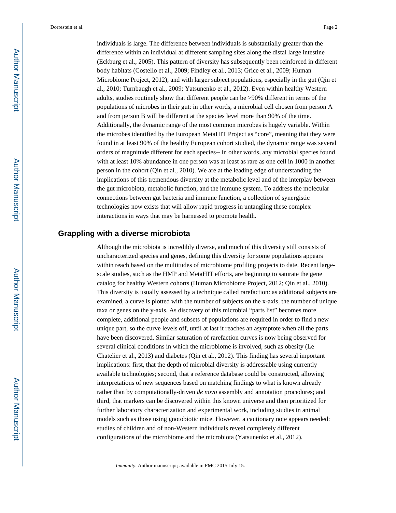individuals is large. The difference between individuals is substantially greater than the difference within an individual at different sampling sites along the distal large intestine (Eckburg et al., 2005). This pattern of diversity has subsequently been reinforced in different body habitats (Costello et al., 2009; Findley et al., 2013; Grice et al., 2009; Human Microbiome Project, 2012), and with larger subject populations, especially in the gut (Qin et al., 2010; Turnbaugh et al., 2009; Yatsunenko et al., 2012). Even within healthy Western adults, studies routinely show that different people can be >90% different in terms of the populations of microbes in their gut: in other words, a microbial cell chosen from person A and from person B will be different at the species level more than 90% of the time. Additionally, the dynamic range of the most common microbes is hugely variable. Within the microbes identified by the European MetaHIT Project as "core", meaning that they were found in at least 90% of the healthy European cohort studied, the dynamic range was several orders of magnitude different for each species-- in other words, any microbial species found with at least 10% abundance in one person was at least as rare as one cell in 1000 in another person in the cohort (Qin et al., 2010). We are at the leading edge of understanding the implications of this tremendous diversity at the metabolic level and of the interplay between the gut microbiota, metabolic function, and the immune system. To address the molecular connections between gut bacteria and immune function, a collection of synergistic technologies now exists that will allow rapid progress in untangling these complex interactions in ways that may be harnessed to promote health.

#### **Grappling with a diverse microbiota**

Although the microbiota is incredibly diverse, and much of this diversity still consists of uncharacterized species and genes, defining this diversity for some populations appears within reach based on the multitudes of microbiome profiling projects to date. Recent largescale studies, such as the HMP and MetaHIT efforts, are beginning to saturate the gene catalog for healthy Western cohorts (Human Microbiome Project, 2012; Qin et al., 2010). This diversity is usually assessed by a technique called rarefaction: as additional subjects are examined, a curve is plotted with the number of subjects on the x-axis, the number of unique taxa or genes on the y-axis. As discovery of this microbial "parts list" becomes more complete, additional people and subsets of populations are required in order to find a new unique part, so the curve levels off, until at last it reaches an asymptote when all the parts have been discovered. Similar saturation of rarefaction curves is now being observed for several clinical conditions in which the microbiome is involved, such as obesity (Le Chatelier et al., 2013) and diabetes (Qin et al., 2012). This finding has several important implications: first, that the depth of microbial diversity is addressable using currently available technologies; second, that a reference database could be constructed, allowing interpretations of new sequences based on matching findings to what is known already rather than by computationally-driven *de novo* assembly and annotation procedures; and third, that markers can be discovered within this known universe and then prioritized for further laboratory characterization and experimental work, including studies in animal models such as those using gnotobiotic mice. However, a cautionary note appears needed: studies of children and of non-Western individuals reveal completely different configurations of the microbiome and the microbiota (Yatsunenko et al., 2012).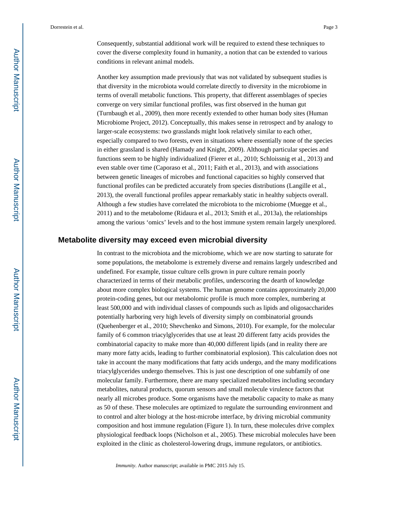Consequently, substantial additional work will be required to extend these techniques to cover the diverse complexity found in humanity, a notion that can be extended to various conditions in relevant animal models.

Another key assumption made previously that was not validated by subsequent studies is that diversity in the microbiota would correlate directly to diversity in the microbiome in terms of overall metabolic functions. This property, that different assemblages of species converge on very similar functional profiles, was first observed in the human gut (Turnbaugh et al., 2009), then more recently extended to other human body sites (Human Microbiome Project, 2012). Conceptually, this makes sense in retrospect and by analogy to larger-scale ecosystems: two grasslands might look relatively similar to each other, especially compared to two forests, even in situations where essentially none of the species in either grassland is shared (Hamady and Knight, 2009). Although particular species and functions seem to be highly individualized (Fierer et al., 2010; Schloissnig et al., 2013) and even stable over time (Caporaso et al., 2011; Faith et al., 2013), and with associations between genetic lineages of microbes and functional capacities so highly conserved that functional profiles can be predicted accurately from species distributions (Langille et al., 2013), the overall functional profiles appear remarkably static in healthy subjects overall. Although a few studies have correlated the microbiota to the microbiome (Muegge et al., 2011) and to the metabolome (Ridaura et al., 2013; Smith et al., 2013a), the relationships among the various 'omics' levels and to the host immune system remain largely unexplored.

#### **Metabolite diversity may exceed even microbial diversity**

In contrast to the microbiota and the microbiome, which we are now starting to saturate for some populations, the metabolome is extremely diverse and remains largely undescribed and undefined. For example, tissue culture cells grown in pure culture remain poorly characterized in terms of their metabolic profiles, underscoring the dearth of knowledge about more complex biological systems. The human genome contains approximately 20,000 protein-coding genes, but our metabolomic profile is much more complex, numbering at least 500,000 and with individual classes of compounds such as lipids and oligosaccharides potentially harboring very high levels of diversity simply on combinatorial grounds (Quehenberger et al., 2010; Shevchenko and Simons, 2010). For example, for the molecular family of 6 common triacylglycerides that use at least 20 different fatty acids provides the combinatorial capacity to make more than 40,000 different lipids (and in reality there are many more fatty acids, leading to further combinatorial explosion). This calculation does not take in account the many modifications that fatty acids undergo, and the many modifications triacylglycerides undergo themselves. This is just one description of one subfamily of one molecular family. Furthermore, there are many specialized metabolites including secondary metabolites, natural products, quorum sensors and small molecule virulence factors that nearly all microbes produce. Some organisms have the metabolic capacity to make as many as 50 of these. These molecules are optimized to regulate the surrounding environment and to control and alter biology at the host-microbe interface, by driving microbial community composition and host immune regulation (Figure 1). In turn, these molecules drive complex physiological feedback loops (Nicholson et al., 2005). These microbial molecules have been exploited in the clinic as cholesterol-lowering drugs, immune regulators, or antibiotics.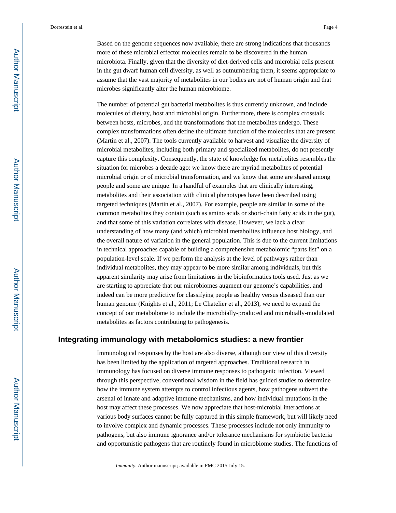Based on the genome sequences now available, there are strong indications that thousands more of these microbial effector molecules remain to be discovered in the human microbiota. Finally, given that the diversity of diet-derived cells and microbial cells present in the gut dwarf human cell diversity, as well as outnumbering them, it seems appropriate to assume that the vast majority of metabolites in our bodies are not of human origin and that microbes significantly alter the human microbiome.

The number of potential gut bacterial metabolites is thus currently unknown, and include molecules of dietary, host and microbial origin. Furthermore, there is complex crosstalk between hosts, microbes, and the transformations that the metabolites undergo. These complex transformations often define the ultimate function of the molecules that are present (Martin et al., 2007). The tools currently available to harvest and visualize the diversity of microbial metabolites, including both primary and specialized metabolites, do not presently capture this complexity. Consequently, the state of knowledge for metabolites resembles the situation for microbes a decade ago: we know there are myriad metabolites of potential microbial origin or of microbial transformation, and we know that some are shared among people and some are unique. In a handful of examples that are clinically interesting, metabolites and their association with clinical phenotypes have been described using targeted techniques (Martin et al., 2007). For example, people are similar in some of the common metabolites they contain (such as amino acids or short-chain fatty acids in the gut), and that some of this variation correlates with disease. However, we lack a clear understanding of how many (and which) microbial metabolites influence host biology, and the overall nature of variation in the general population. This is due to the current limitations in technical approaches capable of building a comprehensive metabolomic "parts list" on a population-level scale. If we perform the analysis at the level of pathways rather than individual metabolites, they may appear to be more similar among individuals, but this apparent similarity may arise from limitations in the bioinformatics tools used. Just as we are starting to appreciate that our microbiomes augment our genome's capabilities, and indeed can be more predictive for classifying people as healthy versus diseased than our human genome (Knights et al., 2011; Le Chatelier et al., 2013), we need to expand the concept of our metabolome to include the microbially-produced and microbially-modulated metabolites as factors contributing to pathogenesis.

#### **Integrating immunology with metabolomics studies: a new frontier**

Immunological responses by the host are also diverse, although our view of this diversity has been limited by the application of targeted approaches. Traditional research in immunology has focused on diverse immune responses to pathogenic infection. Viewed through this perspective, conventional wisdom in the field has guided studies to determine how the immune system attempts to control infectious agents, how pathogens subvert the arsenal of innate and adaptive immune mechanisms, and how individual mutations in the host may affect these processes. We now appreciate that host-microbial interactions at various body surfaces cannot be fully captured in this simple framework, but will likely need to involve complex and dynamic processes. These processes include not only immunity to pathogens, but also immune ignorance and/or tolerance mechanisms for symbiotic bacteria and opportunistic pathogens that are routinely found in microbiome studies. The functions of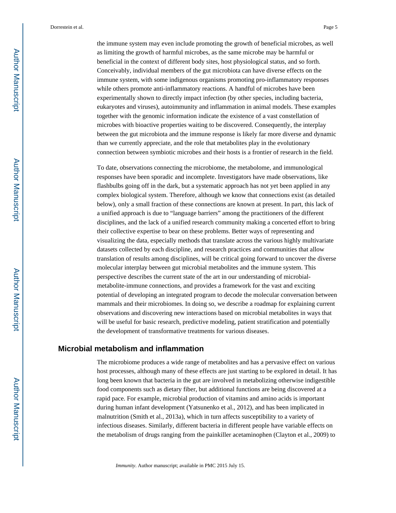the immune system may even include promoting the growth of beneficial microbes, as well as limiting the growth of harmful microbes, as the same microbe may be harmful or beneficial in the context of different body sites, host physiological status, and so forth. Conceivably, individual members of the gut microbiota can have diverse effects on the immune system, with some indigenous organisms promoting pro-inflammatory responses while others promote anti-inflammatory reactions. A handful of microbes have been experimentally shown to directly impact infection (by other species, including bacteria, eukaryotes and viruses), autoimmunity and inflammation in animal models. These examples together with the genomic information indicate the existence of a vast constellation of microbes with bioactive properties waiting to be discovered. Consequently, the interplay between the gut microbiota and the immune response is likely far more diverse and dynamic than we currently appreciate, and the role that metabolites play in the evolutionary connection between symbiotic microbes and their hosts is a frontier of research in the field.

To date, observations connecting the microbiome, the metabolome, and immunological responses have been sporadic and incomplete. Investigators have made observations, like flashbulbs going off in the dark, but a systematic approach has not yet been applied in any complex biological system. Therefore, although we know that connections exist (as detailed below), only a small fraction of these connections are known at present. In part, this lack of a unified approach is due to "language barriers" among the practitioners of the different disciplines, and the lack of a unified research community making a concerted effort to bring their collective expertise to bear on these problems. Better ways of representing and visualizing the data, especially methods that translate across the various highly multivariate datasets collected by each discipline, and research practices and communities that allow translation of results among disciplines, will be critical going forward to uncover the diverse molecular interplay between gut microbial metabolites and the immune system. This perspective describes the current state of the art in our understanding of microbialmetabolite-immune connections, and provides a framework for the vast and exciting potential of developing an integrated program to decode the molecular conversation between mammals and their microbiomes. In doing so, we describe a roadmap for explaining current observations and discovering new interactions based on microbial metabolites in ways that will be useful for basic research, predictive modeling, patient stratification and potentially the development of transformative treatments for various diseases.

#### **Microbial metabolism and inflammation**

The microbiome produces a wide range of metabolites and has a pervasive effect on various host processes, although many of these effects are just starting to be explored in detail. It has long been known that bacteria in the gut are involved in metabolizing otherwise indigestible food components such as dietary fiber, but additional functions are being discovered at a rapid pace. For example, microbial production of vitamins and amino acids is important during human infant development (Yatsunenko et al., 2012), and has been implicated in malnutrition (Smith et al., 2013a), which in turn affects susceptibility to a variety of infectious diseases. Similarly, different bacteria in different people have variable effects on the metabolism of drugs ranging from the painkiller acetaminophen (Clayton et al., 2009) to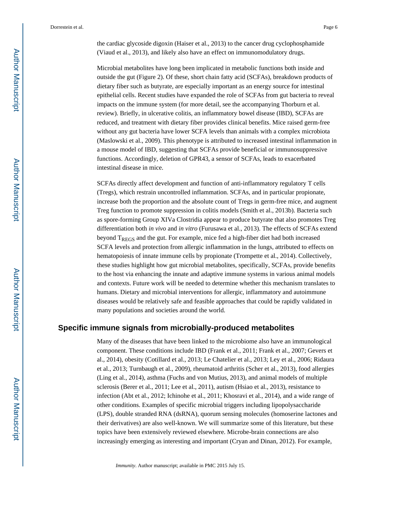the cardiac glycoside digoxin (Haiser et al., 2013) to the cancer drug cyclophosphamide (Viaud et al., 2013), and likely also have an effect on immunomodulatory drugs.

Microbial metabolites have long been implicated in metabolic functions both inside and outside the gut (Figure 2). Of these, short chain fatty acid (SCFAs), breakdown products of dietary fiber such as butyrate, are especially important as an energy source for intestinal epithelial cells. Recent studies have expanded the role of SCFAs from gut bacteria to reveal impacts on the immune system (for more detail, see the accompanying Thorburn et al. review). Briefly, in ulcerative colitis, an inflammatory bowel disease (IBD), SCFAs are reduced, and treatment with dietary fiber provides clinical benefits. Mice raised germ-free without any gut bacteria have lower SCFA levels than animals with a complex microbiota (Maslowski et al., 2009). This phenotype is attributed to increased intestinal inflammation in a mouse model of IBD, suggesting that SCFAs provide beneficial or immunosuppressive functions. Accordingly, deletion of GPR43, a sensor of SCFAs, leads to exacerbated intestinal disease in mice.

SCFAs directly affect development and function of anti-inflammatory regulatory T cells (Tregs), which restrain uncontrolled inflammation. SCFAs, and in particular propionate, increase both the proportion and the absolute count of Tregs in germ-free mice, and augment Treg function to promote suppression in colitis models (Smith et al., 2013b). Bacteria such as spore-forming Group XIVa Clostridia appear to produce butyrate that also promotes Treg differentiation both *in vivo* and *in vitro* (Furusawa et al., 2013). The effects of SCFAs extend beyond TREGS and the gut. For example, mice fed a high-fiber diet had both increased SCFA levels and protection from allergic inflammation in the lungs, attributed to effects on hematopoiesis of innate immune cells by propionate (Trompette et al., 2014). Collectively, these studies highlight how gut microbial metabolites, specifically, SCFAs, provide benefits to the host via enhancing the innate and adaptive immune systems in various animal models and contexts. Future work will be needed to determine whether this mechanism translates to humans. Dietary and microbial interventions for allergic, inflammatory and autoimmune diseases would be relatively safe and feasible approaches that could be rapidly validated in many populations and societies around the world.

#### **Specific immune signals from microbially-produced metabolites**

Many of the diseases that have been linked to the microbiome also have an immunological component. These conditions include IBD (Frank et al., 2011; Frank et al., 2007; Gevers et al., 2014), obesity (Cotillard et al., 2013; Le Chatelier et al., 2013; Ley et al., 2006; Ridaura et al., 2013; Turnbaugh et al., 2009), rheumatoid arthritis (Scher et al., 2013), food allergies (Ling et al., 2014), asthma (Fuchs and von Mutius, 2013), and animal models of multiple sclerosis (Berer et al., 2011; Lee et al., 2011), autism (Hsiao et al., 2013), resistance to infection (Abt et al., 2012; Ichinohe et al., 2011; Khosravi et al., 2014), and a wide range of other conditions. Examples of specific microbial triggers including lipopolysaccharide (LPS), double stranded RNA (dsRNA), quorum sensing molecules (homoserine lactones and their derivatives) are also well-known. We will summarize some of this literature, but these topics have been extensively reviewed elsewhere. Microbe-brain connections are also increasingly emerging as interesting and important (Cryan and Dinan, 2012). For example,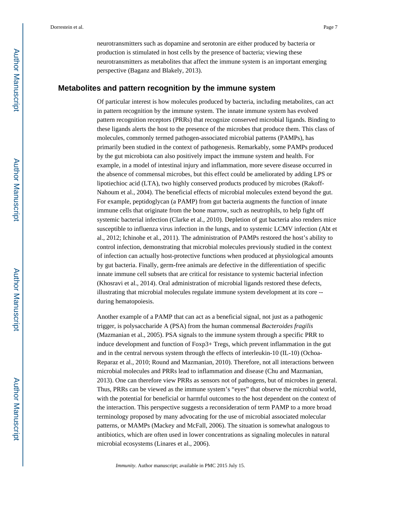neurotransmitters such as dopamine and serotonin are either produced by bacteria or production is stimulated in host cells by the presence of bacteria; viewing these neurotransmitters as metabolites that affect the immune system is an important emerging perspective (Baganz and Blakely, 2013).

#### **Metabolites and pattern recognition by the immune system**

Of particular interest is how molecules produced by bacteria, including metabolites, can act in pattern recognition by the immune system. The innate immune system has evolved pattern recognition receptors (PRRs) that recognize conserved microbial ligands. Binding to these ligands alerts the host to the presence of the microbes that produce them. This class of molecules, commonly termed pathogen-associated microbial patterns (PAMPs), has primarily been studied in the context of pathogenesis. Remarkably, some PAMPs produced by the gut microbiota can also positively impact the immune system and health. For example, in a model of intestinal injury and inflammation, more severe disease occurred in the absence of commensal microbes, but this effect could be ameliorated by adding LPS or lipotiechioc acid (LTA), two highly conserved products produced by microbes (Rakoff-Nahoum et al., 2004). The beneficial effects of microbial molecules extend beyond the gut. For example, peptidoglycan (a PAMP) from gut bacteria augments the function of innate immune cells that originate from the bone marrow, such as neutrophils, to help fight off systemic bacterial infection (Clarke et al., 2010). Depletion of gut bacteria also renders mice susceptible to influenza virus infection in the lungs, and to systemic LCMV infection (Abt et al., 2012; Ichinohe et al., 2011). The administration of PAMPs restored the host's ability to control infection, demonstrating that microbial molecules previously studied in the context of infection can actually host-protective functions when produced at physiological amounts by gut bacteria. Finally, germ-free animals are defective in the differentiation of specific innate immune cell subsets that are critical for resistance to systemic bacterial infection (Khosravi et al., 2014). Oral administration of microbial ligands restored these defects, illustrating that microbial molecules regulate immune system development at its core - during hematopoiesis.

Another example of a PAMP that can act as a beneficial signal, not just as a pathogenic trigger, is polysaccharide A (PSA) from the human commensal *Bacteroides fragilis*  (Mazmanian et al., 2005). PSA signals to the immune system through a specific PRR to induce development and function of Foxp3+ Tregs, which prevent inflammation in the gut and in the central nervous system through the effects of interleukin-10 (IL-10) (Ochoa-Reparaz et al., 2010; Round and Mazmanian, 2010). Therefore, not all interactions between microbial molecules and PRRs lead to inflammation and disease (Chu and Mazmanian, 2013). One can therefore view PRRs as sensors not of pathogens, but of microbes in general. Thus, PRRs can be viewed as the immune system's "eyes" that observe the microbial world, with the potential for beneficial or harmful outcomes to the host dependent on the context of the interaction. This perspective suggests a reconsideration of term PAMP to a more broad terminology proposed by many advocating for the use of microbial associated molecular patterns, or MAMPs (Mackey and McFall, 2006). The situation is somewhat analogous to antibiotics, which are often used in lower concentrations as signaling molecules in natural microbial ecosystems (Linares et al., 2006).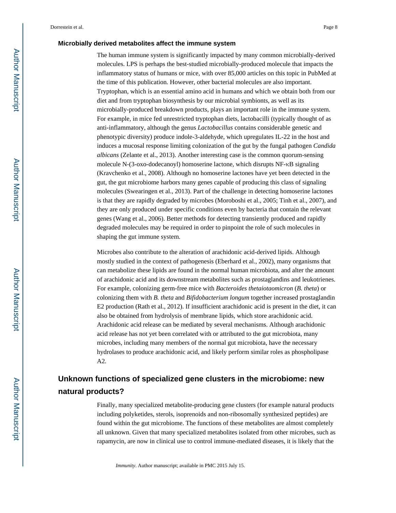#### **Microbially derived metabolites affect the immune system**

The human immune system is significantly impacted by many common microbially-derived molecules. LPS is perhaps the best-studied microbially-produced molecule that impacts the inflammatory status of humans or mice, with over 85,000 articles on this topic in PubMed at the time of this publication. However, other bacterial molecules are also important. Tryptophan, which is an essential amino acid in humans and which we obtain both from our diet and from tryptophan biosynthesis by our microbial symbionts, as well as its microbially-produced breakdown products, plays an important role in the immune system. For example, in mice fed unrestricted tryptophan diets, lactobacilli (typically thought of as anti-inflammatory, although the genus *Lactobacillus* contains considerable genetic and phenotypic diversity) produce indole-3-aldehyde, which upregulates IL-22 in the host and induces a mucosal response limiting colonization of the gut by the fungal pathogen *Candida albicans* (Zelante et al., 2013). Another interesting case is the common quorum-sensing molecule N-(3-oxo-dodecanoyl) homoserine lactone, which disrupts NF-κB signaling (Kravchenko et al., 2008). Although no homoserine lactones have yet been detected in the gut, the gut microbiome harbors many genes capable of producing this class of signaling molecules (Swearingen et al., 2013). Part of the challenge in detecting homoserine lactones is that they are rapidly degraded by microbes (Moroboshi et al., 2005; Tinh et al., 2007), and they are only produced under specific conditions even by bacteria that contain the relevant genes (Wang et al., 2006). Better methods for detecting transiently produced and rapidly degraded molecules may be required in order to pinpoint the role of such molecules in shaping the gut immune system.

Microbes also contribute to the alteration of arachidonic acid-derived lipids. Although mostly studied in the context of pathogenesis (Eberhard et al., 2002), many organisms that can metabolize these lipids are found in the normal human microbiota, and alter the amount of arachidonic acid and its downstream metabolites such as prostaglandins and leukotrienes. For example, colonizing germ-free mice with *Bacteroides thetaiotaomicron* (*B. theta*) or colonizing them with *B. theta* and *Bifidobacterium longum* together increased prostaglandin E2 production (Rath et al., 2012). If insufficient arachidonic acid is present in the diet, it can also be obtained from hydrolysis of membrane lipids, which store arachidonic acid. Arachidonic acid release can be mediated by several mechanisms. Although arachidonic acid release has not yet been correlated with or attributed to the gut microbiota, many microbes, including many members of the normal gut microbiota, have the necessary hydrolases to produce arachidonic acid, and likely perform similar roles as phospholipase A2.

## **Unknown functions of specialized gene clusters in the microbiome: new natural products?**

Finally, many specialized metabolite-producing gene clusters (for example natural products including polyketides, sterols, isoprenoids and non-ribosomally synthesized peptides) are found within the gut microbiome. The functions of these metabolites are almost completely all unknown. Given that many specialized metabolites isolated from other microbes, such as rapamycin, are now in clinical use to control immune-mediated diseases, it is likely that the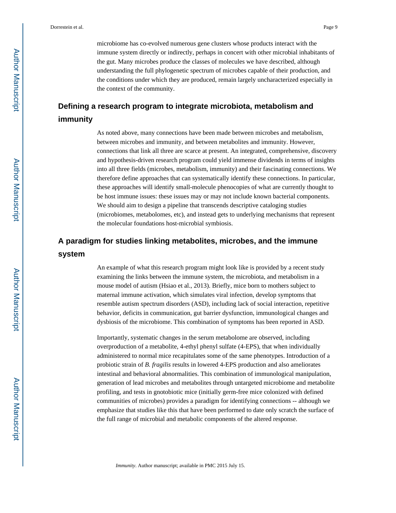microbiome has co-evolved numerous gene clusters whose products interact with the immune system directly or indirectly, perhaps in concert with other microbial inhabitants of the gut. Many microbes produce the classes of molecules we have described, although understanding the full phylogenetic spectrum of microbes capable of their production, and the conditions under which they are produced, remain largely uncharacterized especially in the context of the community.

## **Defining a research program to integrate microbiota, metabolism and immunity**

As noted above, many connections have been made between microbes and metabolism, between microbes and immunity, and between metabolites and immunity. However, connections that link all three are scarce at present. An integrated, comprehensive, discovery and hypothesis-driven research program could yield immense dividends in terms of insights into all three fields (microbes, metabolism, immunity) and their fascinating connections. We therefore define approaches that can systematically identify these connections. In particular, these approaches will identify small-molecule phenocopies of what are currently thought to be host immune issues: these issues may or may not include known bacterial components. We should aim to design a pipeline that transcends descriptive cataloging studies (microbiomes, metabolomes, etc), and instead gets to underlying mechanisms that represent the molecular foundations host-microbial symbiosis.

## **A paradigm for studies linking metabolites, microbes, and the immune system**

An example of what this research program might look like is provided by a recent study examining the links between the immune system, the microbiota, and metabolism in a mouse model of autism (Hsiao et al., 2013). Briefly, mice born to mothers subject to maternal immune activation, which simulates viral infection, develop symptoms that resemble autism spectrum disorders (ASD), including lack of social interaction, repetitive behavior, deficits in communication, gut barrier dysfunction, immunological changes and dysbiosis of the microbiome. This combination of symptoms has been reported in ASD.

Importantly, systematic changes in the serum metabolome are observed, including overproduction of a metabolite, 4-ethyl phenyl sulfate (4-EPS), that when individually administered to normal mice recapitulates some of the same phenotypes. Introduction of a probiotic strain of *B. fragilis* results in lowered 4-EPS production and also ameliorates intestinal and behavioral abnormalities. This combination of immunological manipulation, generation of lead microbes and metabolites through untargeted microbiome and metabolite profiling, and tests in gnotobiotic mice (initially germ-free mice colonized with defined communities of microbes) provides a paradigm for identifying connections -- although we emphasize that studies like this that have been performed to date only scratch the surface of the full range of microbial and metabolic components of the altered response.

Author Manuscript

Author Manuscript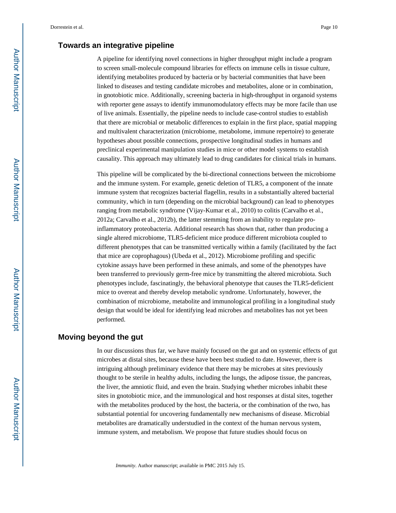#### **Towards an integrative pipeline**

A pipeline for identifying novel connections in higher throughput might include a program to screen small-molecule compound libraries for effects on immune cells in tissue culture, identifying metabolites produced by bacteria or by bacterial communities that have been linked to diseases and testing candidate microbes and metabolites, alone or in combination, in gnotobiotic mice. Additionally, screening bacteria in high-throughput in organoid systems with reporter gene assays to identify immunomodulatory effects may be more facile than use of live animals. Essentially, the pipeline needs to include case-control studies to establish that there are microbial or metabolic differences to explain in the first place, spatial mapping and multivalent characterization (microbiome, metabolome, immune repertoire) to generate hypotheses about possible connections, prospective longitudinal studies in humans and preclinical experimental manipulation studies in mice or other model systems to establish causality. This approach may ultimately lead to drug candidates for clinical trials in humans.

This pipeline will be complicated by the bi-directional connections between the microbiome and the immune system. For example, genetic deletion of TLR5, a component of the innate immune system that recognizes bacterial flagellin, results in a substantially altered bacterial community, which in turn (depending on the microbial background) can lead to phenotypes ranging from metabolic syndrome (Vijay-Kumar et al., 2010) to colitis (Carvalho et al., 2012a; Carvalho et al., 2012b), the latter stemming from an inability to regulate proinflammatory proteobacteria. Additional research has shown that, rather than producing a single altered microbiome, TLR5-deficient mice produce different microbiota coupled to different phenotypes that can be transmitted vertically within a family (facilitated by the fact that mice are coprophagous) (Ubeda et al., 2012). Microbiome profiling and specific cytokine assays have been performed in these animals, and some of the phenotypes have been transferred to previously germ-free mice by transmitting the altered microbiota. Such phenotypes include, fascinatingly, the behavioral phenotype that causes the TLR5-deficient mice to overeat and thereby develop metabolic syndrome. Unfortunately, however, the combination of microbiome, metabolite and immunological profiling in a longitudinal study design that would be ideal for identifying lead microbes and metabolites has not yet been performed.

#### **Moving beyond the gut**

In our discussions thus far, we have mainly focused on the gut and on systemic effects of gut microbes at distal sites, because these have been best studied to date. However, there is intriguing although preliminary evidence that there may be microbes at sites previously thought to be sterile in healthy adults, including the lungs, the adipose tissue, the pancreas, the liver, the amniotic fluid, and even the brain. Studying whether microbes inhabit these sites in gnotobiotic mice, and the immunological and host responses at distal sites, together with the metabolites produced by the host, the bacteria, or the combination of the two, has substantial potential for uncovering fundamentally new mechanisms of disease. Microbial metabolites are dramatically understudied in the context of the human nervous system, immune system, and metabolism. We propose that future studies should focus on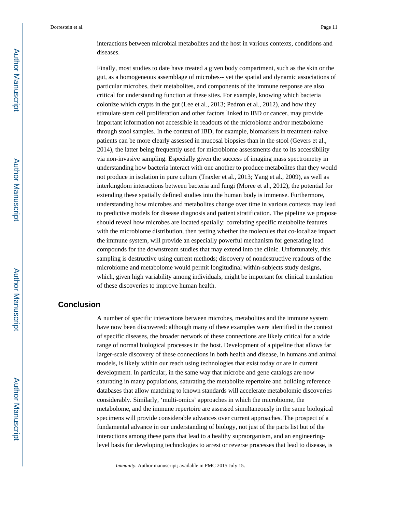interactions between microbial metabolites and the host in various contexts, conditions and diseases.

Finally, most studies to date have treated a given body compartment, such as the skin or the gut, as a homogeneous assemblage of microbes-- yet the spatial and dynamic associations of particular microbes, their metabolites, and components of the immune response are also critical for understanding function at these sites. For example, knowing which bacteria colonize which crypts in the gut (Lee et al., 2013; Pedron et al., 2012), and how they stimulate stem cell proliferation and other factors linked to IBD or cancer, may provide important information not accessible in readouts of the microbiome and/or metabolome through stool samples. In the context of IBD, for example, biomarkers in treatment-naive patients can be more clearly assessed in mucosal biopsies than in the stool (Gevers et al., 2014), the latter being frequently used for microbiome assessments due to its accessibility via non-invasive sampling. Especially given the success of imaging mass spectrometry in understanding how bacteria interact with one another to produce metabolites that they would not produce in isolation in pure culture (Traxler et al., 2013; Yang et al., 2009), as well as interkingdom interactions between bacteria and fungi (Moree et al., 2012), the potential for extending these spatially defined studies into the human body is immense. Furthermore, understanding how microbes and metabolites change over time in various contexts may lead to predictive models for disease diagnosis and patient stratification. The pipeline we propose should reveal how microbes are located spatially: correlating specific metabolite features with the microbiome distribution, then testing whether the molecules that co-localize impact the immune system, will provide an especially powerful mechanism for generating lead compounds for the downstream studies that may extend into the clinic. Unfortunately, this sampling is destructive using current methods; discovery of nondestructive readouts of the microbiome and metabolome would permit longitudinal within-subjects study designs, which, given high variability among individuals, might be important for clinical translation of these discoveries to improve human health.

#### **Conclusion**

A number of specific interactions between microbes, metabolites and the immune system have now been discovered: although many of these examples were identified in the context of specific diseases, the broader network of these connections are likely critical for a wide range of normal biological processes in the host. Development of a pipeline that allows far larger-scale discovery of these connections in both health and disease, in humans and animal models, is likely within our reach using technologies that exist today or are in current development. In particular, in the same way that microbe and gene catalogs are now saturating in many populations, saturating the metabolite repertoire and building reference databases that allow matching to known standards will accelerate metabolomic discoveries considerably. Similarly, 'multi-omics' approaches in which the microbiome, the metabolome, and the immune repertoire are assessed simultaneously in the same biological specimens will provide considerable advances over current approaches. The prospect of a fundamental advance in our understanding of biology, not just of the parts list but of the interactions among these parts that lead to a healthy supraorganism, and an engineeringlevel basis for developing technologies to arrest or reverse processes that lead to disease, is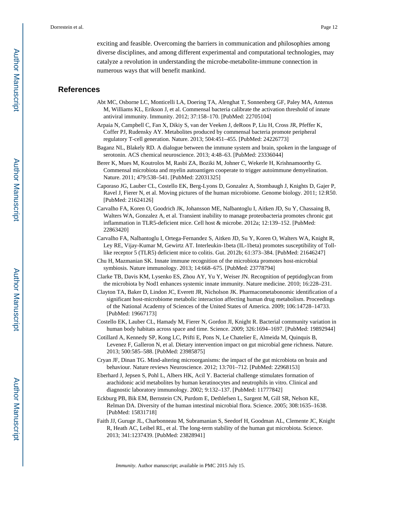exciting and feasible. Overcoming the barriers in communication and philosophies among diverse disciplines, and among different experimental and computational technologies, may catalyze a revolution in understanding the microbe-metabolite-immune connection in numerous ways that will benefit mankind.

#### **References**

- Abt MC, Osborne LC, Monticelli LA, Doering TA, Alenghat T, Sonnenberg GF, Paley MA, Antenus M, Williams KL, Erikson J, et al. Commensal bacteria calibrate the activation threshold of innate antiviral immunity. Immunity. 2012; 37:158–170. [PubMed: 22705104]
- Arpaia N, Campbell C, Fan X, Dikiy S, van der Veeken J, deRoos P, Liu H, Cross JR, Pfeffer K, Coffer PJ, Rudensky AY. Metabolites produced by commensal bacteria promote peripheral regulatory T-cell generation. Nature. 2013; 504:451–455. [PubMed: 24226773]
- Baganz NL, Blakely RD. A dialogue between the immune system and brain, spoken in the language of serotonin. ACS chemical neuroscience. 2013; 4:48–63. [PubMed: 23336044]
- Berer K, Mues M, Koutrolos M, Rasbi ZA, Boziki M, Johner C, Wekerle H, Krishnamoorthy G. Commensal microbiota and myelin autoantigen cooperate to trigger autoimmune demyelination. Nature. 2011; 479:538–541. [PubMed: 22031325]
- Caporaso JG, Lauber CL, Costello EK, Berg-Lyons D, Gonzalez A, Stombaugh J, Knights D, Gajer P, Ravel J, Fierer N, et al. Moving pictures of the human microbiome. Genome biology. 2011; 12:R50. [PubMed: 21624126]
- Carvalho FA, Koren O, Goodrich JK, Johansson ME, Nalbantoglu I, Aitken JD, Su Y, Chassaing B, Walters WA, Gonzalez A, et al. Transient inability to manage proteobacteria promotes chronic gut inflammation in TLR5-deficient mice. Cell host & microbe. 2012a; 12:139–152. [PubMed: 22863420]
- Carvalho FA, Nalbantoglu I, Ortega-Fernandez S, Aitken JD, Su Y, Koren O, Walters WA, Knight R, Ley RE, Vijay-Kumar M, Gewirtz AT. Interleukin-1beta (IL-1beta) promotes susceptibility of Tolllike receptor 5 (TLR5) deficient mice to colitis. Gut. 2012b; 61:373–384. [PubMed: 21646247]
- Chu H, Mazmanian SK. Innate immune recognition of the microbiota promotes host-microbial symbiosis. Nature immunology. 2013; 14:668–675. [PubMed: 23778794]
- Clarke TB, Davis KM, Lysenko ES, Zhou AY, Yu Y, Weiser JN. Recognition of peptidoglycan from the microbiota by Nod1 enhances systemic innate immunity. Nature medicine. 2010; 16:228–231.
- Clayton TA, Baker D, Lindon JC, Everett JR, Nicholson JK. Pharmacometabonomic identification of a significant host-microbiome metabolic interaction affecting human drug metabolism. Proceedings of the National Academy of Sciences of the United States of America. 2009; 106:14728–14733. [PubMed: 19667173]
- Costello EK, Lauber CL, Hamady M, Fierer N, Gordon JI, Knight R. Bacterial community variation in human body habitats across space and time. Science. 2009; 326:1694–1697. [PubMed: 19892944]
- Cotillard A, Kennedy SP, Kong LC, Prifti E, Pons N, Le Chatelier E, Almeida M, Quinquis B, Levenez F, Galleron N, et al. Dietary intervention impact on gut microbial gene richness. Nature. 2013; 500:585–588. [PubMed: 23985875]
- Cryan JF, Dinan TG. Mind-altering microorganisms: the impact of the gut microbiota on brain and behaviour. Nature reviews Neuroscience. 2012; 13:701–712. [PubMed: 22968153]
- Eberhard J, Jepsen S, Pohl L, Albers HK, Acil Y. Bacterial challenge stimulates formation of arachidonic acid metabolites by human keratinocytes and neutrophils in vitro. Clinical and diagnostic laboratory immunology. 2002; 9:132–137. [PubMed: 11777842]
- Eckburg PB, Bik EM, Bernstein CN, Purdom E, Dethlefsen L, Sargent M, Gill SR, Nelson KE, Relman DA. Diversity of the human intestinal microbial flora. Science. 2005; 308:1635–1638. [PubMed: 15831718]
- Faith JJ, Guruge JL, Charbonneau M, Subramanian S, Seedorf H, Goodman AL, Clemente JC, Knight R, Heath AC, Leibel RL, et al. The long-term stability of the human gut microbiota. Science. 2013; 341:1237439. [PubMed: 23828941]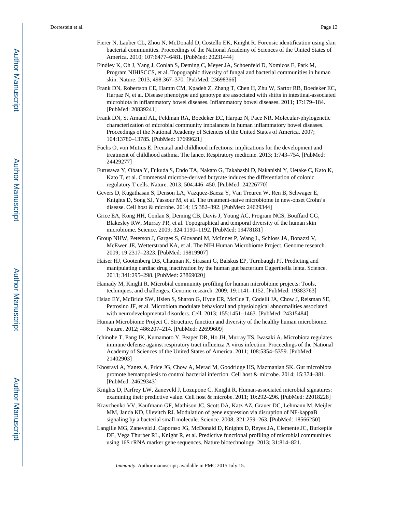- Fierer N, Lauber CL, Zhou N, McDonald D, Costello EK, Knight R. Forensic identification using skin bacterial communities. Proceedings of the National Academy of Sciences of the United States of America. 2010; 107:6477–6481. [PubMed: 20231444]
- Findley K, Oh J, Yang J, Conlan S, Deming C, Meyer JA, Schoenfeld D, Nomicos E, Park M, Program NIHISCCS, et al. Topographic diversity of fungal and bacterial communities in human skin. Nature. 2013; 498:367–370. [PubMed: 23698366]
- Frank DN, Robertson CE, Hamm CM, Kpadeh Z, Zhang T, Chen H, Zhu W, Sartor RB, Boedeker EC, Harpaz N, et al. Disease phenotype and genotype are associated with shifts in intestinal-associated microbiota in inflammatory bowel diseases. Inflammatory bowel diseases. 2011; 17:179–184. [PubMed: 20839241]
- Frank DN, St Amand AL, Feldman RA, Boedeker EC, Harpaz N, Pace NR. Molecular-phylogenetic characterization of microbial community imbalances in human inflammatory bowel diseases. Proceedings of the National Academy of Sciences of the United States of America. 2007; 104:13780–13785. [PubMed: 17699621]
- Fuchs O, von Mutius E. Prenatal and childhood infections: implications for the development and treatment of childhood asthma. The lancet Respiratory medicine. 2013; 1:743–754. [PubMed: 24429277]
- Furusawa Y, Obata Y, Fukuda S, Endo TA, Nakato G, Takahashi D, Nakanishi Y, Uetake C, Kato K, Kato T, et al. Commensal microbe-derived butyrate induces the differentiation of colonic regulatory T cells. Nature. 2013; 504:446–450. [PubMed: 24226770]
- Gevers D, Kugathasan S, Denson LA, Vazquez-Baeza Y, Van Treuren W, Ren B, Schwager E, Knights D, Song SJ, Yassour M, et al. The treatment-naive microbiome in new-onset Crohn's disease. Cell host & microbe. 2014; 15:382–392. [PubMed: 24629344]
- Grice EA, Kong HH, Conlan S, Deming CB, Davis J, Young AC, Program NCS, Bouffard GG, Blakesley RW, Murray PR, et al. Topographical and temporal diversity of the human skin microbiome. Science. 2009; 324:1190–1192. [PubMed: 19478181]
- Group NHW, Peterson J, Garges S, Giovanni M, McInnes P, Wang L, Schloss JA, Bonazzi V, McEwen JE, Wetterstrand KA, et al. The NIH Human Microbiome Project. Genome research. 2009; 19:2317–2323. [PubMed: 19819907]
- Haiser HJ, Gootenberg DB, Chatman K, Sirasani G, Balskus EP, Turnbaugh PJ. Predicting and manipulating cardiac drug inactivation by the human gut bacterium Eggerthella lenta. Science. 2013; 341:295–298. [PubMed: 23869020]
- Hamady M, Knight R. Microbial community profiling for human microbiome projects: Tools, techniques, and challenges. Genome research. 2009; 19:1141–1152. [PubMed: 19383763]
- Hsiao EY, McBride SW, Hsien S, Sharon G, Hyde ER, McCue T, Codelli JA, Chow J, Reisman SE, Petrosino JF, et al. Microbiota modulate behavioral and physiological abnormalities associated with neurodevelopmental disorders. Cell. 2013; 155:1451–1463. [PubMed: 24315484]
- Human Microbiome Project C. Structure, function and diversity of the healthy human microbiome. Nature. 2012; 486:207–214. [PubMed: 22699609]
- Ichinohe T, Pang IK, Kumamoto Y, Peaper DR, Ho JH, Murray TS, Iwasaki A. Microbiota regulates immune defense against respiratory tract influenza A virus infection. Proceedings of the National Academy of Sciences of the United States of America. 2011; 108:5354–5359. [PubMed: 21402903]
- Khosravi A, Yanez A, Price JG, Chow A, Merad M, Goodridge HS, Mazmanian SK. Gut microbiota promote hematopoiesis to control bacterial infection. Cell host & microbe. 2014; 15:374–381. [PubMed: 24629343]
- Knights D, Parfrey LW, Zaneveld J, Lozupone C, Knight R. Human-associated microbial signatures: examining their predictive value. Cell host & microbe. 2011; 10:292–296. [PubMed: 22018228]
- Kravchenko VV, Kaufmann GF, Mathison JC, Scott DA, Katz AZ, Grauer DC, Lehmann M, Meijler MM, Janda KD, Ulevitch RJ. Modulation of gene expression via disruption of NF-kappaB signaling by a bacterial small molecule. Science. 2008; 321:259–263. [PubMed: 18566250]
- Langille MG, Zaneveld J, Caporaso JG, McDonald D, Knights D, Reyes JA, Clemente JC, Burkepile DE, Vega Thurber RL, Knight R, et al. Predictive functional profiling of microbial communities using 16S rRNA marker gene sequences. Nature biotechnology. 2013; 31:814–821.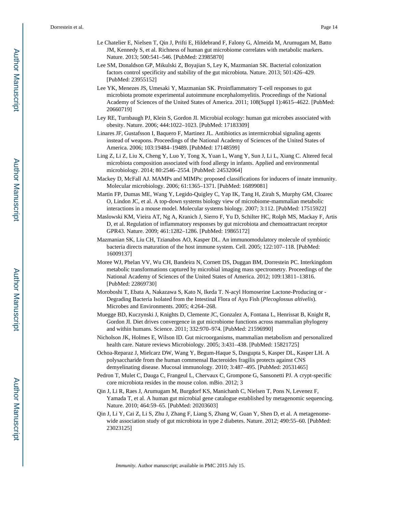- Le Chatelier E, Nielsen T, Qin J, Prifti E, Hildebrand F, Falony G, Almeida M, Arumugam M, Batto JM, Kennedy S, et al. Richness of human gut microbiome correlates with metabolic markers. Nature. 2013; 500:541–546. [PubMed: 23985870]
- Lee SM, Donaldson GP, Mikulski Z, Boyajian S, Ley K, Mazmanian SK. Bacterial colonization factors control specificity and stability of the gut microbiota. Nature. 2013; 501:426–429. [PubMed: 23955152]
- Lee YK, Menezes JS, Umesaki Y, Mazmanian SK. Proinflammatory T-cell responses to gut microbiota promote experimental autoimmune encephalomyelitis. Proceedings of the National Academy of Sciences of the United States of America. 2011; 108(Suppl 1):4615–4622. [PubMed: 20660719]
- Ley RE, Turnbaugh PJ, Klein S, Gordon JI. Microbial ecology: human gut microbes associated with obesity. Nature. 2006; 444:1022–1023. [PubMed: 17183309]
- Linares JF, Gustafsson I, Baquero F, Martinez JL. Antibiotics as intermicrobial signaling agents instead of weapons. Proceedings of the National Academy of Sciences of the United States of America. 2006; 103:19484–19489. [PubMed: 17148599]
- Ling Z, Li Z, Liu X, Cheng Y, Luo Y, Tong X, Yuan L, Wang Y, Sun J, Li L, Xiang C. Altered fecal microbiota composition associated with food allergy in infants. Applied and environmental microbiology. 2014; 80:2546–2554. [PubMed: 24532064]
- Mackey D, McFall AJ. MAMPs and MIMPs: proposed classifications for inducers of innate immunity. Molecular microbiology. 2006; 61:1365–1371. [PubMed: 16899081]
- Martin FP, Dumas ME, Wang Y, Legido-Quigley C, Yap IK, Tang H, Zirah S, Murphy GM, Cloarec O, Lindon JC, et al. A top-down systems biology view of microbiome-mammalian metabolic interactions in a mouse model. Molecular systems biology. 2007; 3:112. [PubMed: 17515922]
- Maslowski KM, Vieira AT, Ng A, Kranich J, Sierro F, Yu D, Schilter HC, Rolph MS, Mackay F, Artis D, et al. Regulation of inflammatory responses by gut microbiota and chemoattractant receptor GPR43. Nature. 2009; 461:1282–1286. [PubMed: 19865172]
- Mazmanian SK, Liu CH, Tzianabos AO, Kasper DL. An immunomodulatory molecule of symbiotic bacteria directs maturation of the host immune system. Cell. 2005; 122:107–118. [PubMed: 16009137]
- Moree WJ, Phelan VV, Wu CH, Bandeira N, Cornett DS, Duggan BM, Dorrestein PC. Interkingdom metabolic transformations captured by microbial imaging mass spectrometry. Proceedings of the National Academy of Sciences of the United States of America. 2012; 109:13811–13816. [PubMed: 22869730]
- Moroboshi T, Ebata A, Nakazawa S, Kato N, Ikeda T. N-acyl Homoserine Lactone-Producing or Degrading Bacteria Isolated from the Intestinal Flora of Ayu Fish (*Plecoglossus altivelis*). Microbes and Environments. 2005; 4:264–268.
- Muegge BD, Kuczynski J, Knights D, Clemente JC, Gonzalez A, Fontana L, Henrissat B, Knight R, Gordon JI. Diet drives convergence in gut microbiome functions across mammalian phylogeny and within humans. Science. 2011; 332:970–974. [PubMed: 21596990]
- Nicholson JK, Holmes E, Wilson ID. Gut microorganisms, mammalian metabolism and personalized health care. Nature reviews Microbiology. 2005; 3:431–438. [PubMed: 15821725]
- Ochoa-Reparaz J, Mielcarz DW, Wang Y, Begum-Haque S, Dasgupta S, Kasper DL, Kasper LH. A polysaccharide from the human commensal Bacteroides fragilis protects against CNS demyelinating disease. Mucosal immunology. 2010; 3:487–495. [PubMed: 20531465]
- Pedron T, Mulet C, Dauga C, Frangeul L, Chervaux C, Grompone G, Sansonetti PJ. A crypt-specific core microbiota resides in the mouse colon. mBio. 2012; 3
- Qin J, Li R, Raes J, Arumugam M, Burgdorf KS, Manichanh C, Nielsen T, Pons N, Levenez F, Yamada T, et al. A human gut microbial gene catalogue established by metagenomic sequencing. Nature. 2010; 464:59–65. [PubMed: 20203603]
- Qin J, Li Y, Cai Z, Li S, Zhu J, Zhang F, Liang S, Zhang W, Guan Y, Shen D, et al. A metagenomewide association study of gut microbiota in type 2 diabetes. Nature. 2012; 490:55–60. [PubMed: 23023125]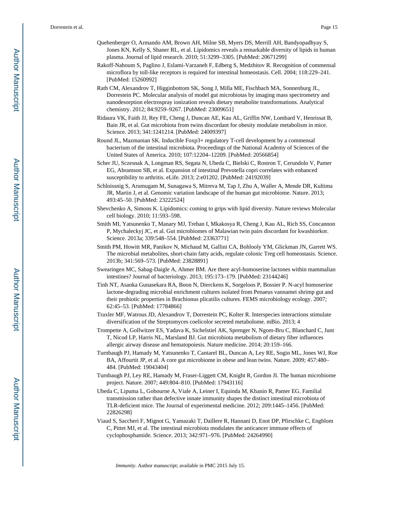- Quehenberger O, Armando AM, Brown AH, Milne SB, Myers DS, Merrill AH, Bandyopadhyay S, Jones KN, Kelly S, Shaner RL, et al. Lipidomics reveals a remarkable diversity of lipids in human plasma. Journal of lipid research. 2010; 51:3299–3305. [PubMed: 20671299]
- Rakoff-Nahoum S, Paglino J, Eslami-Varzaneh F, Edberg S, Medzhitov R. Recognition of commensal microflora by toll-like receptors is required for intestinal homeostasis. Cell. 2004; 118:229–241. [PubMed: 15260992]
- Rath CM, Alexandrov T, Higginbottom SK, Song J, Milla ME, Fischbach MA, Sonnenburg JL, Dorrestein PC. Molecular analysis of model gut microbiotas by imaging mass spectrometry and nanodesorption electrospray ionization reveals dietary metabolite transformations. Analytical chemistry. 2012; 84:9259–9267. [PubMed: 23009651]
- Ridaura VK, Faith JJ, Rey FE, Cheng J, Duncan AE, Kau AL, Griffin NW, Lombard V, Henrissat B, Bain JR, et al. Gut microbiota from twins discordant for obesity modulate metabolism in mice. Science. 2013; 341:1241214. [PubMed: 24009397]
- Round JL, Mazmanian SK. Inducible Foxp3+ regulatory T-cell development by a commensal bacterium of the intestinal microbiota. Proceedings of the National Academy of Sciences of the United States of America. 2010; 107:12204–12209. [PubMed: 20566854]
- Scher JU, Sczesnak A, Longman RS, Segata N, Ubeda C, Bielski C, Rostron T, Cerundolo V, Pamer EG, Abramson SB, et al. Expansion of intestinal Prevotella copri correlates with enhanced susceptibility to arthritis. eLife. 2013; 2:e01202. [PubMed: 24192039]
- Schloissnig S, Arumugam M, Sunagawa S, Mitreva M, Tap J, Zhu A, Waller A, Mende DR, Kultima JR, Martin J, et al. Genomic variation landscape of the human gut microbiome. Nature. 2013; 493:45–50. [PubMed: 23222524]
- Shevchenko A, Simons K. Lipidomics: coming to grips with lipid diversity. Nature reviews Molecular cell biology. 2010; 11:593–598.
- Smith MI, Yatsunenko T, Manary MJ, Trehan I, Mkakosya R, Cheng J, Kau AL, Rich SS, Concannon P, Mychaleckyj JC, et al. Gut microbiomes of Malawian twin pairs discordant for kwashiorkor. Science. 2013a; 339:548–554. [PubMed: 23363771]
- Smith PM, Howitt MR, Panikov N, Michaud M, Gallini CA, Bohlooly YM, Glickman JN, Garrett WS. The microbial metabolites, short-chain fatty acids, regulate colonic Treg cell homeostasis. Science. 2013b; 341:569–573. [PubMed: 23828891]
- Swearingen MC, Sabag-Daigle A, Ahmer BM. Are there acyl-homoserine lactones within mammalian intestines? Journal of bacteriology. 2013; 195:173–179. [PubMed: 23144246]
- Tinh NT, Asanka Gunasekara RA, Boon N, Dierckens K, Sorgeloos P, Bossier P. N-acyl homoserine lactone-degrading microbial enrichment cultures isolated from Penaeus vannamei shrimp gut and their probiotic properties in Brachionus plicatilis cultures. FEMS microbiology ecology. 2007; 62:45–53. [PubMed: 17784866]
- Traxler MF, Watrous JD, Alexandrov T, Dorrestein PC, Kolter R. Interspecies interactions stimulate diversification of the Streptomyces coelicolor secreted metabolome. mBio. 2013; 4
- Trompette A, Gollwitzer ES, Yadava K, Sichelstiel AK, Sprenger N, Ngom-Bru C, Blanchard C, Junt T, Nicod LP, Harris NL, Marsland BJ. Gut microbiota metabolism of dietary fiber influences allergic airway disease and hematopoiesis. Nature medicine. 2014; 20:159–166.
- Turnbaugh PJ, Hamady M, Yatsunenko T, Cantarel BL, Duncan A, Ley RE, Sogin ML, Jones WJ, Roe BA, Affourtit JP, et al. A core gut microbiome in obese and lean twins. Nature. 2009; 457:480– 484. [PubMed: 19043404]
- Turnbaugh PJ, Ley RE, Hamady M, Fraser-Liggett CM, Knight R, Gordon JI. The human microbiome project. Nature. 2007; 449:804–810. [PubMed: 17943116]
- Ubeda C, Lipuma L, Gobourne A, Viale A, Leiner I, Equinda M, Khanin R, Pamer EG. Familial transmission rather than defective innate immunity shapes the distinct intestinal microbiota of TLR-deficient mice. The Journal of experimental medicine. 2012; 209:1445–1456. [PubMed: 22826298]
- Viaud S, Saccheri F, Mignot G, Yamazaki T, Daillere R, Hannani D, Enot DP, Pfirschke C, Engblom C, Pittet MJ, et al. The intestinal microbiota modulates the anticancer immune effects of cyclophosphamide. Science. 2013; 342:971–976. [PubMed: 24264990]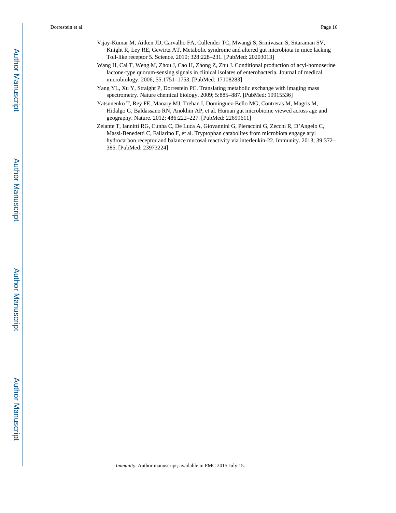- Vijay-Kumar M, Aitken JD, Carvalho FA, Cullender TC, Mwangi S, Srinivasan S, Sitaraman SV, Knight R, Ley RE, Gewirtz AT. Metabolic syndrome and altered gut microbiota in mice lacking Toll-like receptor 5. Science. 2010; 328:228–231. [PubMed: 20203013]
- Wang H, Cai T, Weng M, Zhou J, Cao H, Zhong Z, Zhu J. Conditional production of acyl-homoserine lactone-type quorum-sensing signals in clinical isolates of enterobacteria. Journal of medical microbiology. 2006; 55:1751–1753. [PubMed: 17108283]
- Yang YL, Xu Y, Straight P, Dorrestein PC. Translating metabolic exchange with imaging mass spectrometry. Nature chemical biology. 2009; 5:885–887. [PubMed: 19915536]
- Yatsunenko T, Rey FE, Manary MJ, Trehan I, Dominguez-Bello MG, Contreras M, Magris M, Hidalgo G, Baldassano RN, Anokhin AP, et al. Human gut microbiome viewed across age and geography. Nature. 2012; 486:222–227. [PubMed: 22699611]
- Zelante T, Iannitti RG, Cunha C, De Luca A, Giovannini G, Pieraccini G, Zecchi R, D'Angelo C, Massi-Benedetti C, Fallarino F, et al. Tryptophan catabolites from microbiota engage aryl hydrocarbon receptor and balance mucosal reactivity via interleukin-22. Immunity. 2013; 39:372– 385. [PubMed: 23973224]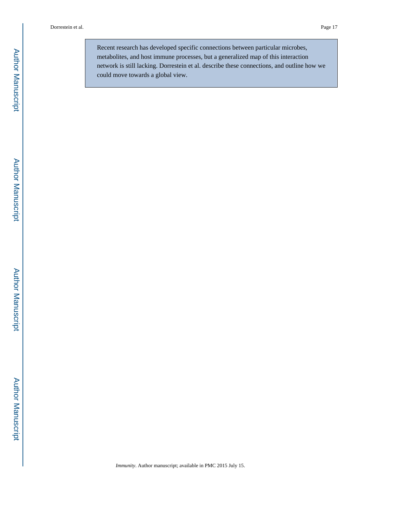Recent research has developed specific connections between particular microbes, metabolites, and host immune processes, but a generalized map of this interaction network is still lacking. Dorrestein et al. describe these connections, and outline how we could move towards a global view.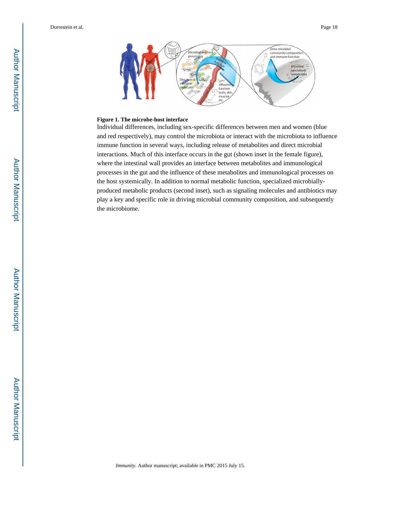

#### **Figure 1. The microbe-host interface**

Individual differences, including sex-specific differences between men and women (blue and red respectively), may control the microbiota or interact with the microbiota to influence immune function in several ways, including release of metabolites and direct microbial interactions. Much of this interface occurs in the gut (shown inset in the female figure), where the intestinal wall provides an interface between metabolites and immunological processes in the gut and the influence of these metabolites and immunological processes on the host systemically. In addition to normal metabolic function, specialized microbiallyproduced metabolic products (second inset), such as signaling molecules and antibiotics may play a key and specific role in driving microbial community composition, and subsequently the microbiome.